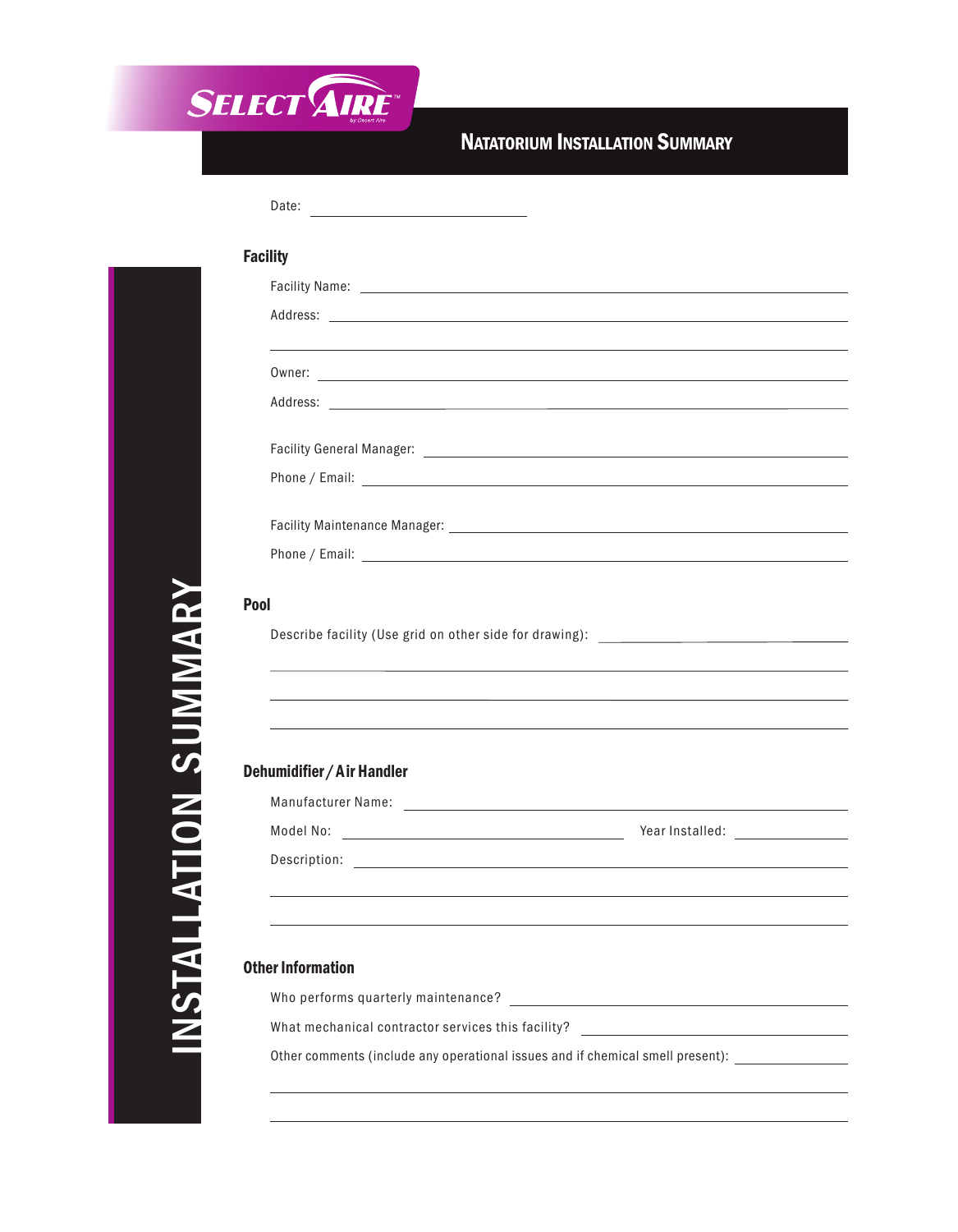

## **NATATORIUM INSTALLATION SUMMARY**

| <b>Facility</b>                                                                                                |                                                                                                                          |  |
|----------------------------------------------------------------------------------------------------------------|--------------------------------------------------------------------------------------------------------------------------|--|
|                                                                                                                |                                                                                                                          |  |
|                                                                                                                |                                                                                                                          |  |
|                                                                                                                |                                                                                                                          |  |
| Address: No. 2014 19:30:00 PM 20:30:00 PM 20:30:00 PM 20:30:00 PM 20:30:00 PM 20:30:00 PM 20:30:00 PM 20:30:00 |                                                                                                                          |  |
|                                                                                                                |                                                                                                                          |  |
|                                                                                                                |                                                                                                                          |  |
|                                                                                                                |                                                                                                                          |  |
|                                                                                                                |                                                                                                                          |  |
| Describe facility (Use grid on other side for drawing): _________________________                              |                                                                                                                          |  |
|                                                                                                                | ,我们也不会有什么。""我们的人,我们也不会有什么?""我们的人,我们也不会有什么?""我们的人,我们也不会有什么?""我们的人,我们也不会有什么?""我们的人                                         |  |
|                                                                                                                |                                                                                                                          |  |
|                                                                                                                |                                                                                                                          |  |
| Pool<br>Dehumidifier / Air Handler                                                                             |                                                                                                                          |  |
|                                                                                                                |                                                                                                                          |  |
|                                                                                                                |                                                                                                                          |  |
|                                                                                                                |                                                                                                                          |  |
| <b>Other Information</b>                                                                                       |                                                                                                                          |  |
| Who performs quarterly maintenance?<br>What mechanical contractor services this facility?                      | <u> 1989 - Andrea Andrew Maria (h. 1989).</u><br><u> 1989 - Andrea State Barbara, politik eta politikaria (h. 1908).</u> |  |

## $\mathbb Z$  $\boldsymbol{\mathcal{G}}$  $\equiv$ A  $\equiv$  $\equiv$ A TIO N  $\boldsymbol{\mathcal{S}}$  $\blacksquare$  $\geq$  $\geq$ A  $\boldsymbol{\alpha}$  $\blacktriangleright$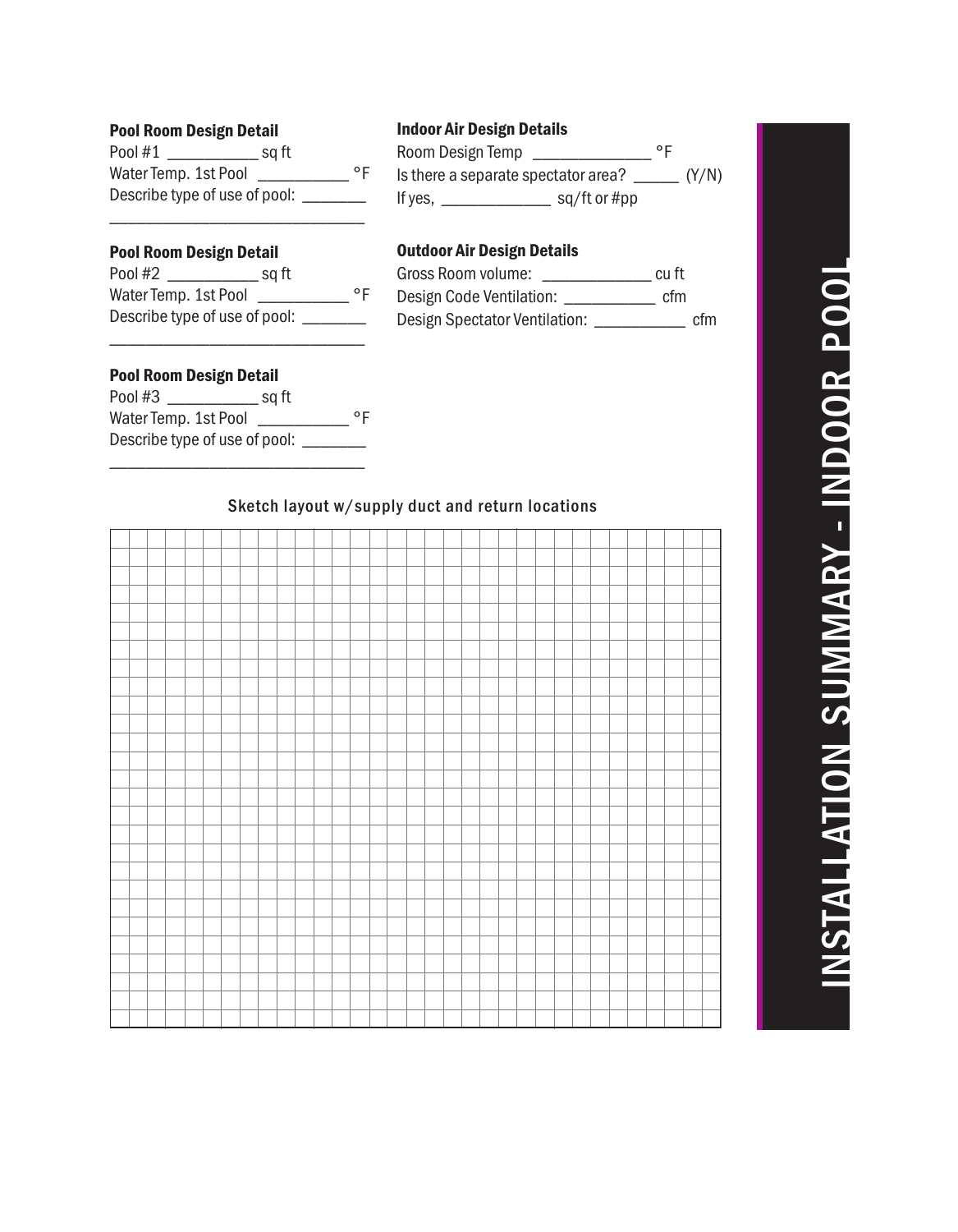## Z  $\boldsymbol{\mathcal{G}}$  $\equiv$ A  $\equiv$  $\equiv$ A TIO  $\mathbb Z$  $\boldsymbol{\omega}$  $\blacksquare$  $\geq$  $\geq$ A  $\boldsymbol{\alpha}$  $\blacktriangleright$ - IN  $\blacksquare$ O O  $\boldsymbol{\alpha}$  $\mathbf{\Omega}$ O O  $\equiv$

#### **Pool Room Design Detail**

| Pool #1                       | sq ft |    |
|-------------------------------|-------|----|
| Water Temp. 1st Pool          |       | ۰F |
| Describe type of use of pool: |       |    |

#### **Indoor Air Design Details**

| Room Design Temp                    |  | ᅇ     |  |
|-------------------------------------|--|-------|--|
| Is there a separate spectator area? |  | (Y/N) |  |
| If yes,                             |  |       |  |

#### **Pool Room Design Detail**

| Pool #2                       | sq ft |    |
|-------------------------------|-------|----|
| Water Temp. 1st Pool          |       | ٥F |
| Describe type of use of pool: |       |    |

### **Outdoor Air Design Details**

| Gross Room volume:            | cu ft |     |
|-------------------------------|-------|-----|
| Design Code Ventilation:      | cfm   |     |
| Design Spectator Ventilation: |       | cfm |

#### **Pool Room Design Detail**

| Pool #3                       | sq ft |    |
|-------------------------------|-------|----|
| Water Temp. 1st Pool          |       | ۰F |
| Describe type of use of pool: |       |    |

#### Sketch layout w/supply duct and return locations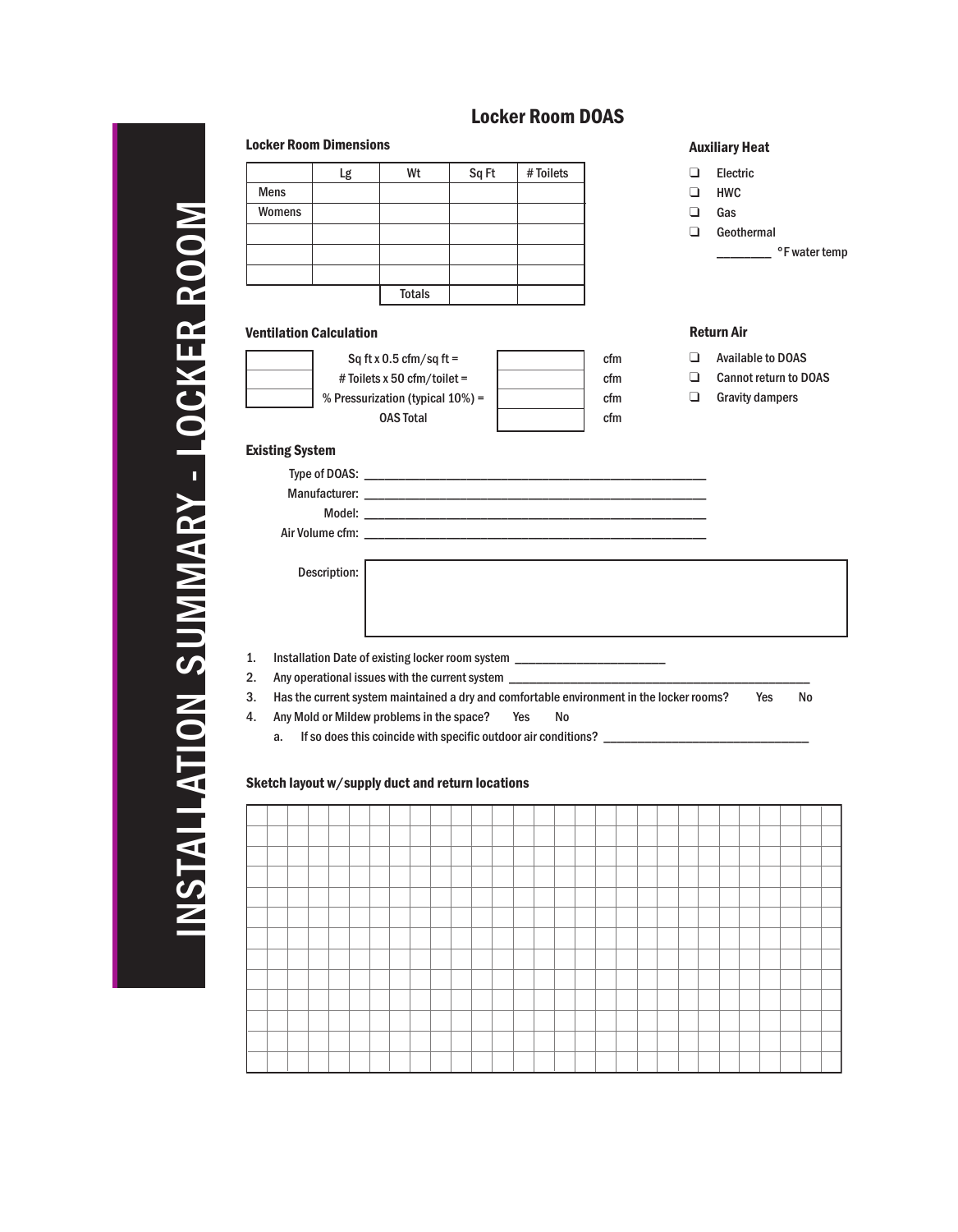#### TIO  $\mathbb Z$  $\boldsymbol{\mathcal{G}}$  $\equiv$  $\geq$  $\geq$ A  $\mathbf{\Omega}$  $\blacktriangleright$ -  $\equiv$ O C K E  $\mathbf{\Omega}$  $\mathbf{\Omega}$ O O  $\geq$ Totals Mens Womens Sq ft x 0.5 cfm/sq ft = # Toiletsx 50 cfm/toilet = % Pressurization (typical 10%) = OAS Total Type of DOAS: Manufacturer: Model: Air Volume cfm: Description: ❑ Electric ❑ HWC ❑ Gas ❑ Geothermal \_\_\_\_\_\_\_\_ °F water temp 1. Installation Date of existing locker room system \_\_\_\_ 2. Any operational issues with the current system \_\_\_\_\_\_\_\_\_\_\_\_\_\_\_\_\_\_\_\_\_\_\_\_\_\_\_\_\_\_ 3. Has the current system maintained a dry and comfortable environment in the locker rooms? Yes No 4. Any Mold or Mildew problems in the space? Yes No a. If so does this coincide with specific outdoor air conditions? \_\_\_\_\_\_\_\_\_\_\_\_\_\_\_\_\_\_\_\_\_\_\_\_\_\_\_\_\_\_\_\_\_\_ cfm cfm cfm cfm Lg | Wt | Sq Ft | # Toilets **Locker Room Dimensions Auxiliary Heat** ❑ Available to DOAS ❑ Cannot return to DOAS ❑ Gravity dampers **Ventilation Calculation Return Air Existing System Sketch layout w/supply duct and return locations**

**Locker Room DOAS**

# Z  $\boldsymbol{\mathcal{S}}$  $\equiv$ A  $\equiv$  $\equiv$ A